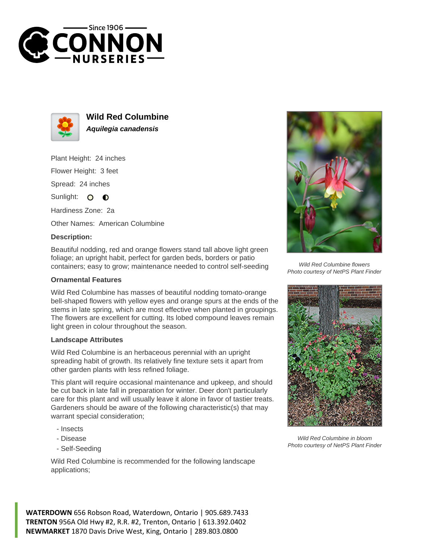



**Wild Red Columbine Aquilegia canadensis**

Plant Height: 24 inches Flower Height: 3 feet

Spread: 24 inches

Sunlight: O **O** 

Hardiness Zone: 2a

Other Names: American Columbine

## **Description:**

Beautiful nodding, red and orange flowers stand tall above light green foliage; an upright habit, perfect for garden beds, borders or patio containers; easy to grow; maintenance needed to control self-seeding

## **Ornamental Features**

Wild Red Columbine has masses of beautiful nodding tomato-orange bell-shaped flowers with yellow eyes and orange spurs at the ends of the stems in late spring, which are most effective when planted in groupings. The flowers are excellent for cutting. Its lobed compound leaves remain light green in colour throughout the season.

## **Landscape Attributes**

Wild Red Columbine is an herbaceous perennial with an upright spreading habit of growth. Its relatively fine texture sets it apart from other garden plants with less refined foliage.

This plant will require occasional maintenance and upkeep, and should be cut back in late fall in preparation for winter. Deer don't particularly care for this plant and will usually leave it alone in favor of tastier treats. Gardeners should be aware of the following characteristic(s) that may warrant special consideration;

- Insects
- Disease
- Self-Seeding

Wild Red Columbine is recommended for the following landscape applications;



Wild Red Columbine flowers Photo courtesy of NetPS Plant Finder



Wild Red Columbine in bloom Photo courtesy of NetPS Plant Finder

**WATERDOWN** 656 Robson Road, Waterdown, Ontario | 905.689.7433 **TRENTON** 956A Old Hwy #2, R.R. #2, Trenton, Ontario | 613.392.0402 **NEWMARKET** 1870 Davis Drive West, King, Ontario | 289.803.0800